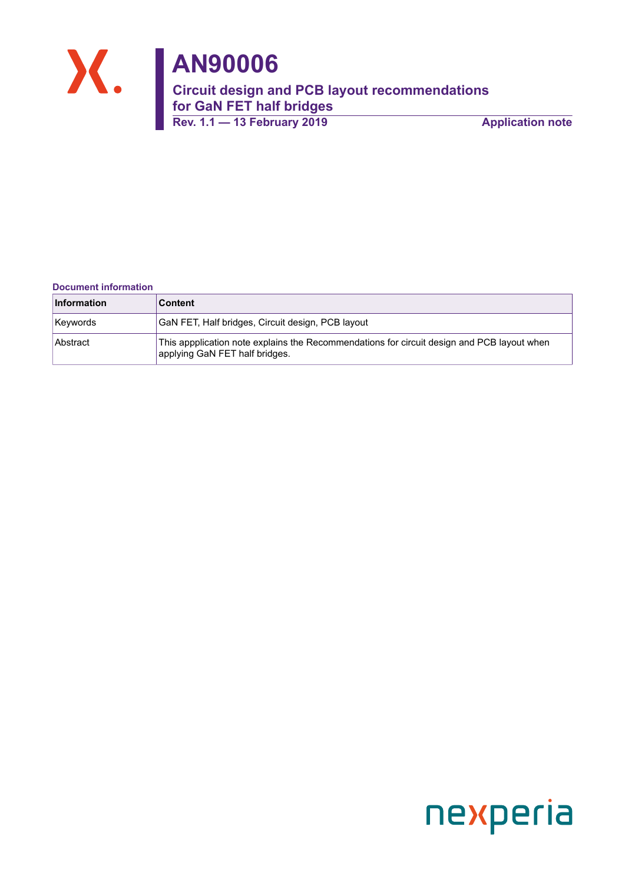

#### **Document information**

| <b>Information</b> | ∣Content                                                                                                                     |
|--------------------|------------------------------------------------------------------------------------------------------------------------------|
| Keywords           | GaN FET, Half bridges, Circuit design, PCB layout                                                                            |
| Abstract           | This appplication note explains the Recommendations for circuit design and PCB layout when<br>applying GaN FET half bridges. |

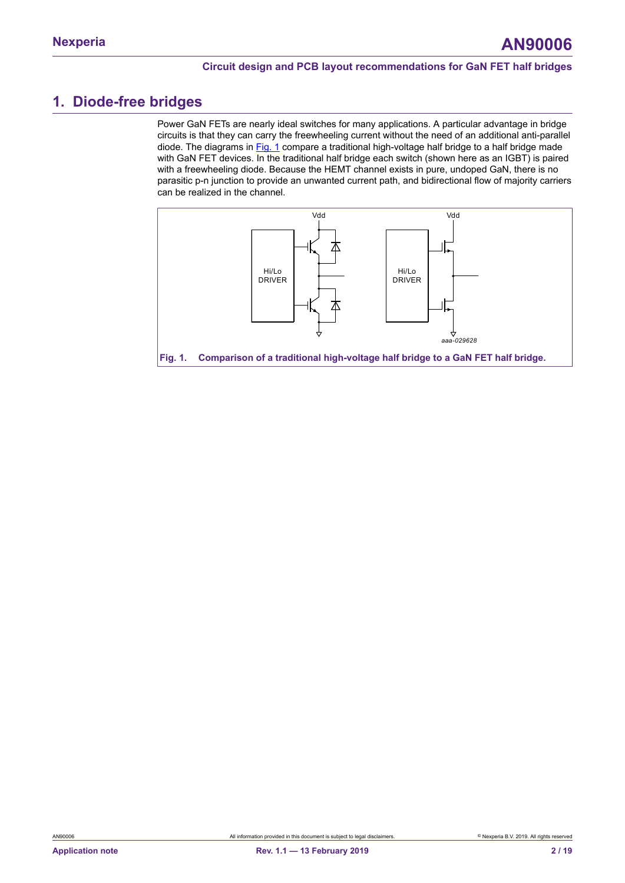## <span id="page-1-1"></span>**1. Diode-free bridges**

Power GaN FETs are nearly ideal switches for many applications. A particular advantage in bridge circuits is that they can carry the freewheeling current without the need of an additional anti-parallel diode. The diagrams in [Fig. 1](#page-1-0) compare a traditional high-voltage half bridge to a half bridge made with GaN FET devices. In the traditional half bridge each switch (shown here as an IGBT) is paired with a freewheeling diode. Because the HEMT channel exists in pure, undoped GaN, there is no parasitic p-n junction to provide an unwanted current path, and bidirectional flow of majority carriers can be realized in the channel.

<span id="page-1-0"></span>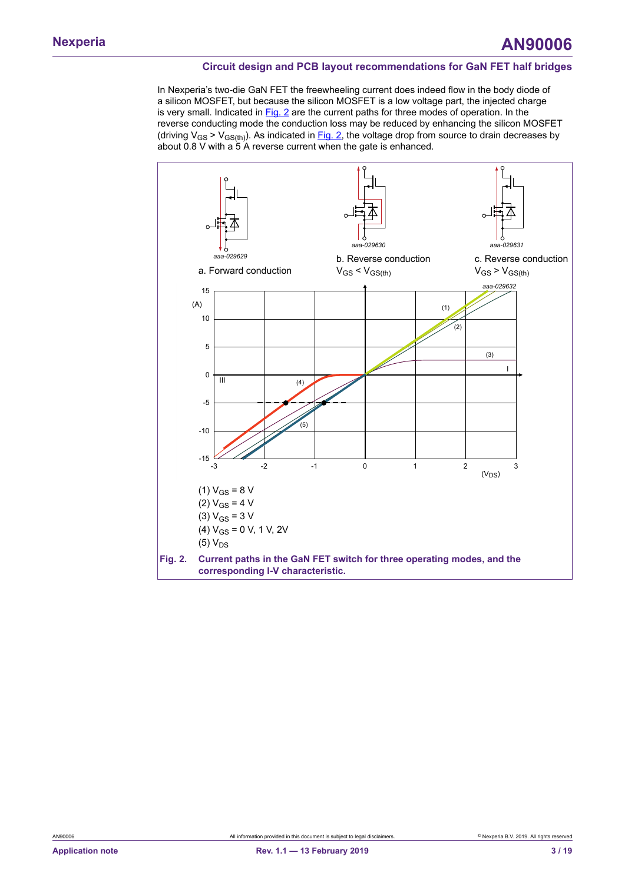In Nexperia's two-die GaN FET the freewheeling current does indeed flow in the body diode of a silicon MOSFET, but because the silicon MOSFET is a low voltage part, the injected charge is very small. Indicated in  $Fig. 2$  are the current paths for three modes of operation. In the reverse conducting mode the conduction loss may be reduced by enhancing the silicon MOSFET (driving  $V_{GS}$  >  $V_{GS(*th*)}$ ). As indicated in [Fig. 2](#page-2-0), the voltage drop from source to drain decreases by about 0.8 V with a 5 A reverse current when the gate is enhanced.

<span id="page-2-0"></span>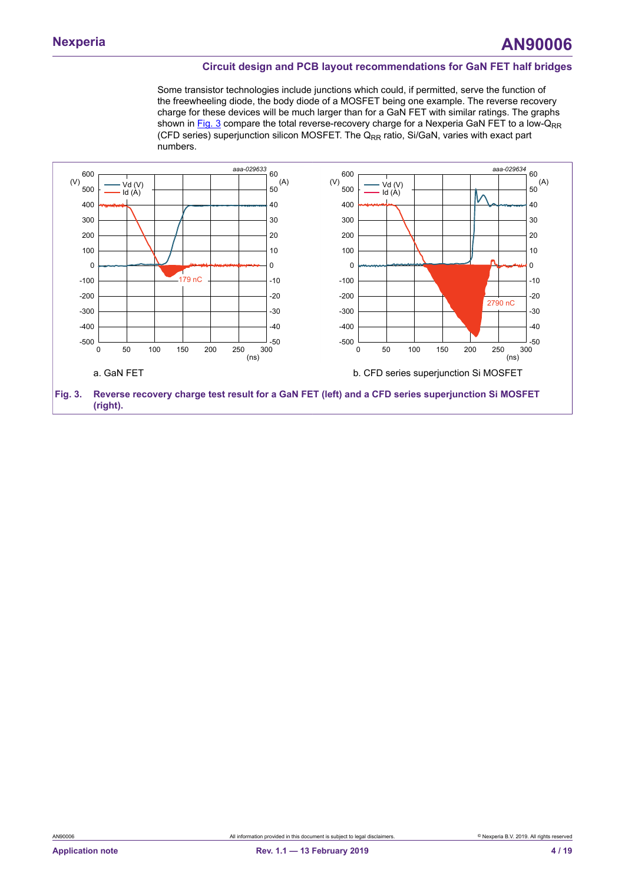Some transistor technologies include junctions which could, if permitted, serve the function of the freewheeling diode, the body diode of a MOSFET being one example. The reverse recovery charge for these devices will be much larger than for a GaN FET with similar ratings. The graphs shown in [Fig. 3](#page-3-0) compare the total reverse-recovery charge for a Nexperia GaN FET to a low- $Q_{RR}$ (CFD series) superjunction silicon MOSFET. The  $Q_{\text{BB}}$  ratio, Si/GaN, varies with exact part numbers.

<span id="page-3-0"></span>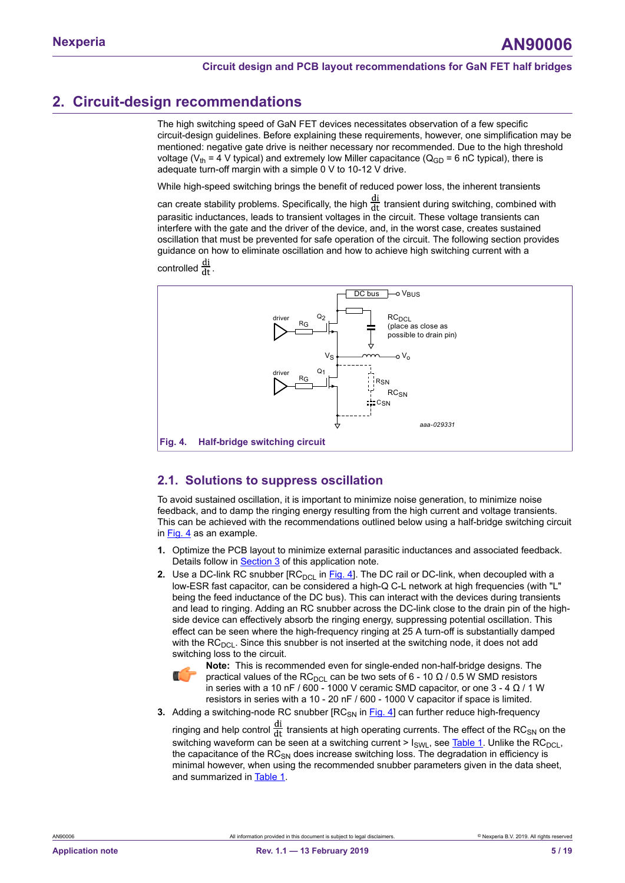## <span id="page-4-1"></span>**2. Circuit-design recommendations**

The high switching speed of GaN FET devices necessitates observation of a few specific circuit-design guidelines. Before explaining these requirements, however, one simplification may be mentioned: negative gate drive is neither necessary nor recommended. Due to the high threshold voltage ( $V_{th}$  = 4 V typical) and extremely low Miller capacitance ( $Q_{GD}$  = 6 nC typical), there is adequate turn-off margin with a simple 0 V to 10-12 V drive.

While high-speed switching brings the benefit of reduced power loss, the inherent transients

can create stability problems. Specifically, the high  $\frac{di}{dt}$  transient during switching, combined with parasitic inductances, leads to transient voltages in the circuit. These voltage transients can interfere with the gate and the driver of the device, and, in the worst case, creates sustained oscillation that must be prevented for safe operation of the circuit. The following section provides guidance on how to eliminate oscillation and how to achieve high switching current with a controlled  $\frac{di}{dt}$ 

<span id="page-4-0"></span>

### <span id="page-4-2"></span>**2.1. Solutions to suppress oscillation**

To avoid sustained oscillation, it is important to minimize noise generation, to minimize noise feedback, and to damp the ringing energy resulting from the high current and voltage transients. This can be achieved with the recommendations outlined below using a half-bridge switching circuit in  $Fig. 4$  as an example.

- **1.** Optimize the PCB layout to minimize external parasitic inductances and associated feedback. Details follow in [Section 3](#page-7-0) of this application note.
- **2.** Use a DC-link RC snubber  $[RC_{\text{DCI}}]$  in [Fig. 4](#page-4-0)]. The DC rail or DC-link, when decoupled with a low-ESR fast capacitor, can be considered a high-Q C-L network at high frequencies (with "L" being the feed inductance of the DC bus). This can interact with the devices during transients and lead to ringing. Adding an RC snubber across the DC-link close to the drain pin of the highside device can effectively absorb the ringing energy, suppressing potential oscillation. This effect can be seen where the high-frequency ringing at 25 A turn-off is substantially damped with the  $RC<sub>DCL</sub>$ . Since this snubber is not inserted at the switching node, it does not add switching loss to the circuit.



**Note:** This is recommended even for single-ended non-half-bridge designs. The practical values of the RC<sub>DCL</sub> can be two sets of 6 - 10 Ω / 0.5 W SMD resistors in series with a 10 nF / 600 - 1000 V ceramic SMD capacitor, or one 3 - 4  $\Omega$  / 1 W resistors in series with a 10 - 20 nF / 600 - 1000 V capacitor if space is limited.

**3.** Adding a switching-node RC snubber [RC<sub>SN</sub> in [Fig. 4\]](#page-4-0) can further reduce high-frequency

ringing and help control  $\frac{di}{dt}$  transients at high operating currents. The effect of the RC<sub>SN</sub> on the switching waveform can be seen at a switching current >  $I_{SWL}$ , see [Table](#page-6-0) 1. Unlike the RC<sub>DCL</sub>, the capacitance of the  $RC_{SN}$  does increase switching loss. The degradation in efficiency is minimal however, when using the recommended snubber parameters given in the data sheet, and summarized in [Table](#page-6-0) 1.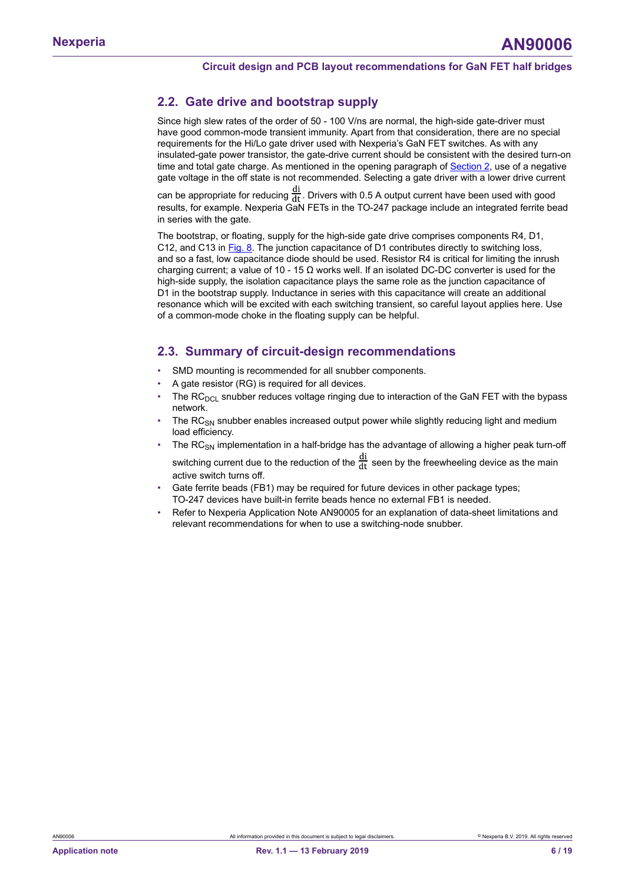### <span id="page-5-0"></span>**2.2. Gate drive and bootstrap supply**

Since high slew rates of the order of 50 - 100 V/ns are normal, the high-side gate-driver must have good common-mode transient immunity. Apart from that consideration, there are no special requirements for the Hi/Lo gate driver used with Nexperia's GaN FET switches. As with any insulated-gate power transistor, the gate-drive current should be consistent with the desired turn-on time and total gate charge. As mentioned in the opening paragraph of **[Section 2](#page-4-1)**, use of a negative gate voltage in the off state is not recommended. Selecting a gate driver with a lower drive current

can be appropriate for reducing  $\frac{di}{dt}$ . Drivers with 0.5 A output current have been used with good results, for example. Nexperia GaN FETs in the TO-247 package include an integrated ferrite bead in series with the gate.

The bootstrap, or floating, supply for the high-side gate drive comprises components R4, D1, C12, and C13 in [Fig. 8.](#page-10-0) The junction capacitance of D1 contributes directly to switching loss, and so a fast, low capacitance diode should be used. Resistor R4 is critical for limiting the inrush charging current; a value of 10 - 15  $\Omega$  works well. If an isolated DC-DC converter is used for the high-side supply, the isolation capacitance plays the same role as the junction capacitance of D1 in the bootstrap supply. Inductance in series with this capacitance will create an additional resonance which will be excited with each switching transient, so careful layout applies here. Use of a common-mode choke in the floating supply can be helpful.

### <span id="page-5-1"></span>**2.3. Summary of circuit-design recommendations**

- SMD mounting is recommended for all snubber components.
- A gate resistor (RG) is required for all devices.
- The  $RC<sub>DC</sub>$  snubber reduces voltage ringing due to interaction of the GaN FET with the bypass network.
- The RC<sub>SN</sub> snubber enables increased output power while slightly reducing light and medium load efficiency.
- The  $RC_{SM}$  implementation in a half-bridge has the advantage of allowing a higher peak turn-off switching current due to the reduction of the  $\frac{di}{dt}$  seen by the freewheeling device as the main active switch turns off.
- Gate ferrite beads (FB1) may be required for future devices in other package types; TO-247 devices have built-in ferrite beads hence no external FB1 is needed.
- Refer to Nexperia Application Note AN90005 for an explanation of data-sheet limitations and relevant recommendations for when to use a switching-node snubber.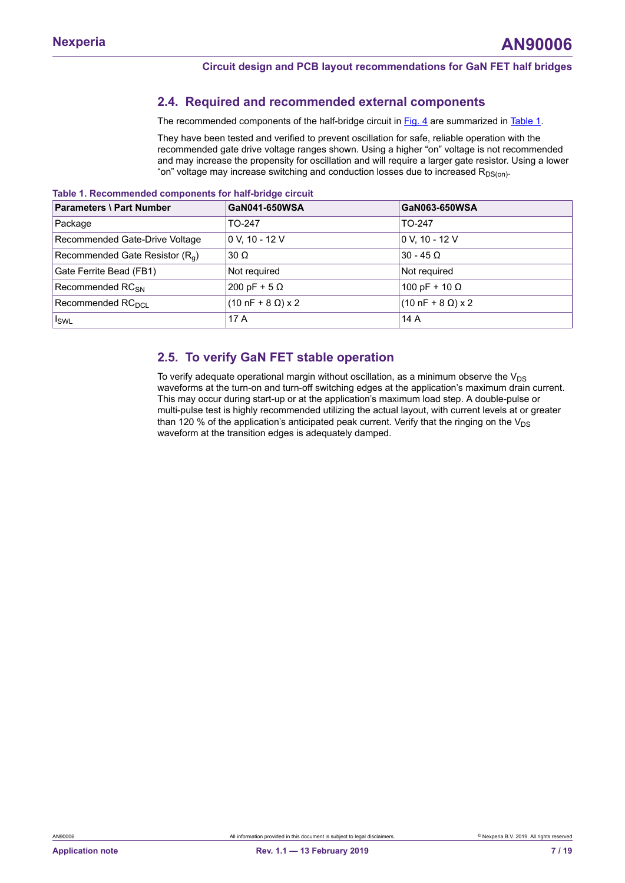### <span id="page-6-1"></span>**2.4. Required and recommended external components**

The recommended components of the half-bridge circuit in [Fig. 4](#page-4-0) are summarized in [Table](#page-6-0) 1.

<span id="page-6-0"></span>They have been tested and verified to prevent oscillation for safe, reliable operation with the recommended gate drive voltage ranges shown. Using a higher "on" voltage is not recommended and may increase the propensity for oscillation and will require a larger gate resistor. Using a lower "on" voltage may increase switching and conduction losses due to increased  $R_{DS(0n)}$ .

| <b>Parameters \ Part Number</b>             | GaN041-650WSA                         | GaN063-650WSA                         |
|---------------------------------------------|---------------------------------------|---------------------------------------|
| Package                                     | TO-247                                | TO-247                                |
| Recommended Gate-Drive Voltage              | 0 V. 10 - 12 V                        | 0 V, 10 - 12 V                        |
| Recommended Gate Resistor (R <sub>a</sub> ) | $30 \Omega$                           | $30 - 45$ $\Omega$                    |
| Gate Ferrite Bead (FB1)                     | Not required                          | Not required                          |
| Recommended RC <sub>SN</sub>                | $200 pF + 5 \Omega$                   | 100 pF + 10 Ω                         |
| Recommended RC <sub>DCI</sub>               | $(10 \text{ nF} + 8 \Omega) \times 2$ | $(10 \text{ nF} + 8 \Omega) \times 2$ |
| $I_{SWL}$                                   | 17 A                                  | 14 A                                  |

#### **Table 1. Recommended components for half-bridge circuit**

### <span id="page-6-2"></span>**2.5. To verify GaN FET stable operation**

To verify adequate operational margin without oscillation, as a minimum observe the  $V_{DS}$ waveforms at the turn-on and turn-off switching edges at the application's maximum drain current. This may occur during start-up or at the application's maximum load step. A double-pulse or multi-pulse test is highly recommended utilizing the actual layout, with current levels at or greater than 120 % of the application's anticipated peak current. Verify that the ringing on the  $V_{DS}$ waveform at the transition edges is adequately damped.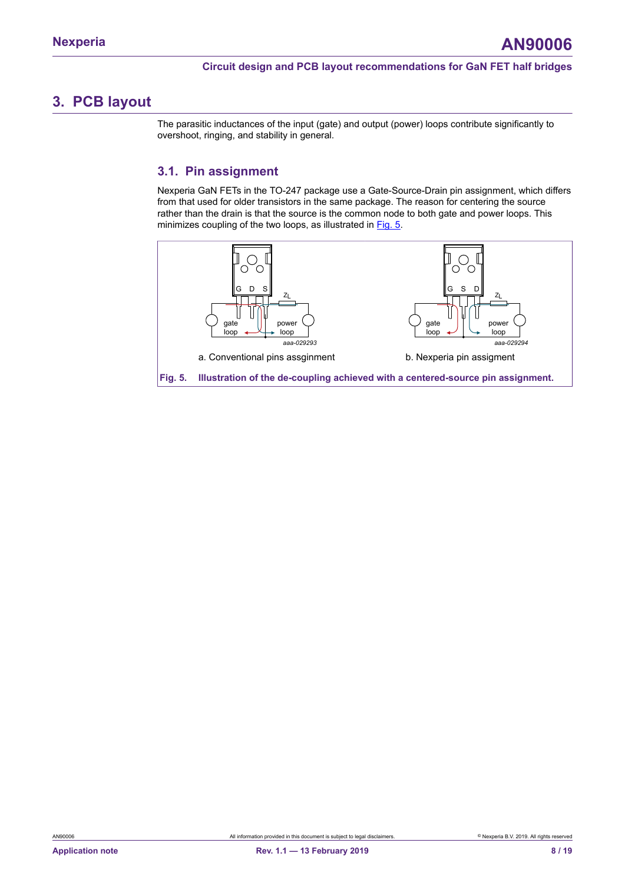## <span id="page-7-0"></span>**3. PCB layout**

The parasitic inductances of the input (gate) and output (power) loops contribute significantly to overshoot, ringing, and stability in general.

### <span id="page-7-2"></span>**3.1. Pin assignment**

Nexperia GaN FETs in the TO-247 package use a Gate-Source-Drain pin assignment, which differs from that used for older transistors in the same package. The reason for centering the source rather than the drain is that the source is the common node to both gate and power loops. This minimizes coupling of the two loops, as illustrated in [Fig. 5](#page-7-1).

<span id="page-7-1"></span>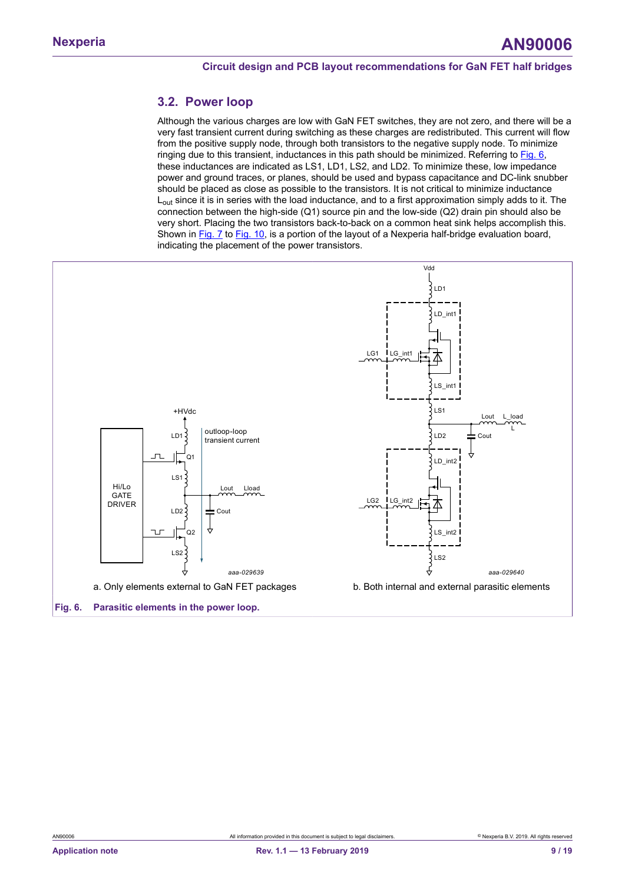### <span id="page-8-1"></span>**3.2. Power loop**

Although the various charges are low with GaN FET switches, they are not zero, and there will be a very fast transient current during switching as these charges are redistributed. This current will flow from the positive supply node, through both transistors to the negative supply node. To minimize ringing due to this transient, inductances in this path should be minimized. Referring to [Fig. 6](#page-8-0), these inductances are indicated as LS1, LD1, LS2, and LD2. To minimize these, low impedance power and ground traces, or planes, should be used and bypass capacitance and DC-link snubber should be placed as close as possible to the transistors. It is not critical to minimize inductance  $L_{\text{out}}$  since it is in series with the load inductance, and to a first approximation simply adds to it. The connection between the high-side (Q1) source pin and the low-side (Q2) drain pin should also be very short. Placing the two transistors back-to-back on a common heat sink helps accomplish this. Shown in [Fig. 7](#page-9-0) to [Fig. 10,](#page-10-1) is a portion of the layout of a Nexperia half-bridge evaluation board, indicating the placement of the power transistors.

<span id="page-8-0"></span>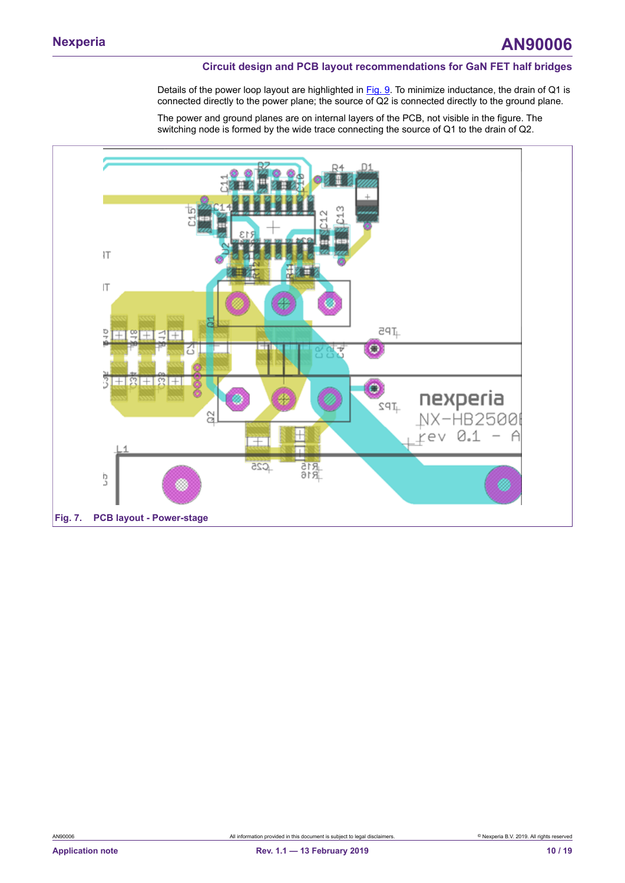Details of the power loop layout are highlighted in [Fig. 9](#page-10-2). To minimize inductance, the drain of Q1 is connected directly to the power plane; the source of Q2 is connected directly to the ground plane.

The power and ground planes are on internal layers of the PCB, not visible in the figure. The switching node is formed by the wide trace connecting the source of Q1 to the drain of Q2.

<span id="page-9-0"></span>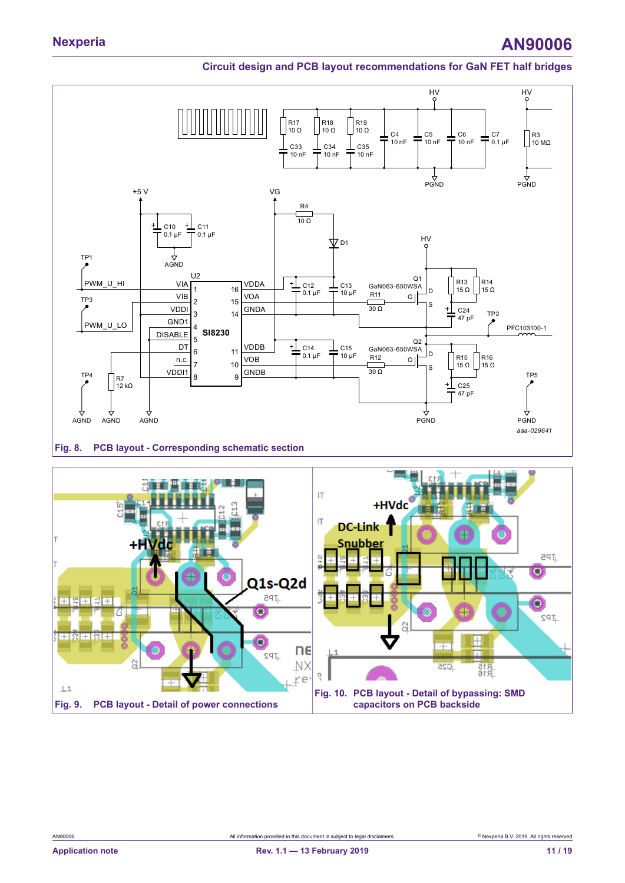<span id="page-10-0"></span>

<span id="page-10-1"></span>

<span id="page-10-2"></span>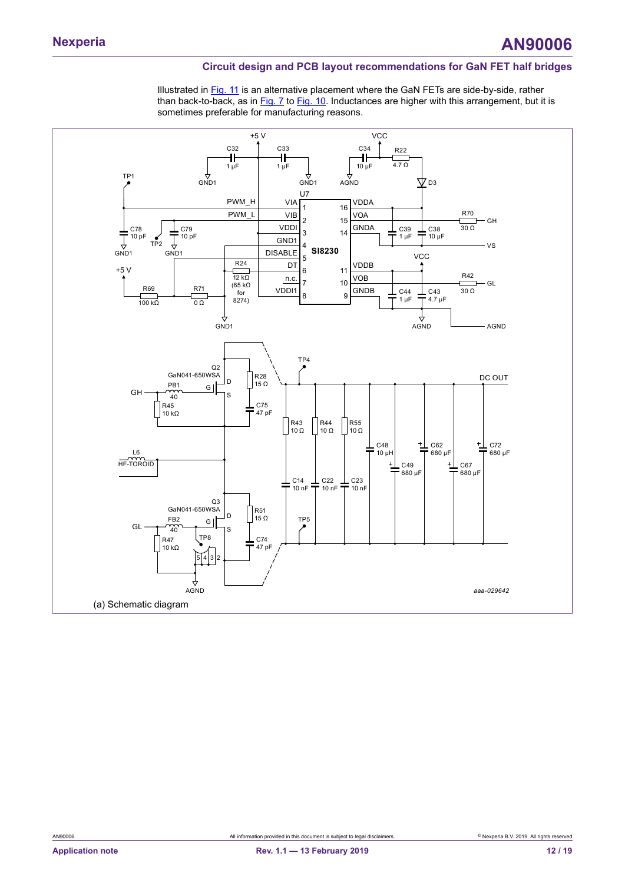Illustrated in [Fig.](#page-12-0) 11 is an alternative placement where the GaN FETs are side-by-side, rather than back-to-back, as in [Fig. 7](#page-9-0) to [Fig. 10](#page-10-1). Inductances are higher with this arrangement, but it is sometimes preferable for manufacturing reasons.

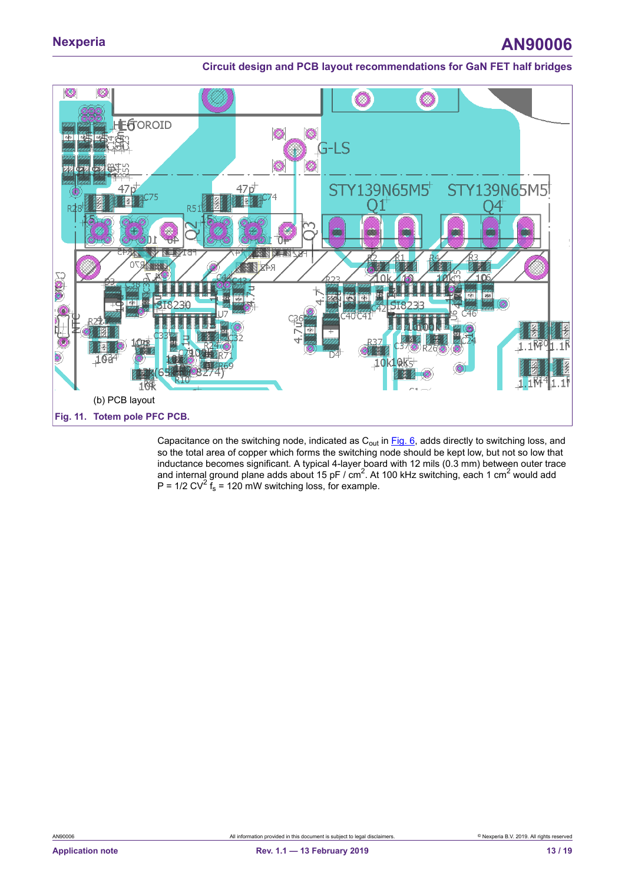# **Nexperia AN90006**

### **Circuit design and PCB layout recommendations for GaN FET half bridges**

<span id="page-12-0"></span>

Capacitance on the switching node, indicated as  $C_{out}$  in  $Fig. 6$ , adds directly to switching loss, and so the total area of copper which forms the switching node should be kept low, but not so low that inductance becomes significant. A typical 4-layer board with 12 mils (0.3 mm) between outer trace and internal ground plane adds about 15 pF / cm<sup>2</sup>. At 100 kHz switching, each 1 cm<sup>2</sup> would add P =  $1/2$  CV<sup>2</sup>  $\tilde{f}_s$  = 120 mW switching loss, for example.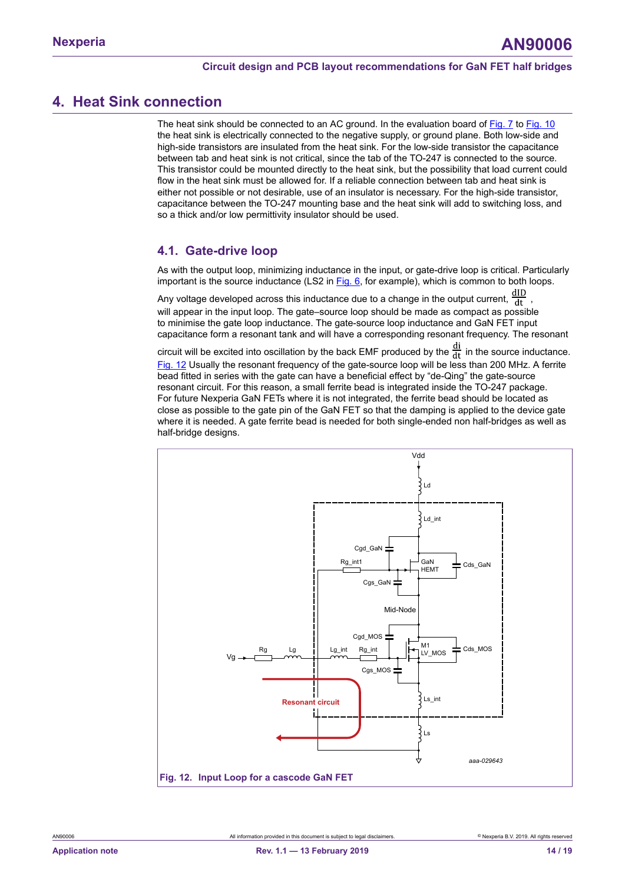## <span id="page-13-1"></span>**4. Heat Sink connection**

The heat sink should be connected to an AC ground. In the evaluation board of [Fig. 7](#page-9-0) to [Fig. 10](#page-10-1) the heat sink is electrically connected to the negative supply, or ground plane. Both low-side and high-side transistors are insulated from the heat sink. For the low-side transistor the capacitance between tab and heat sink is not critical, since the tab of the TO-247 is connected to the source. This transistor could be mounted directly to the heat sink, but the possibility that load current could flow in the heat sink must be allowed for. If a reliable connection between tab and heat sink is either not possible or not desirable, use of an insulator is necessary. For the high-side transistor, capacitance between the TO-247 mounting base and the heat sink will add to switching loss, and so a thick and/or low permittivity insulator should be used.

### <span id="page-13-2"></span>**4.1. Gate-drive loop**

As with the output loop, minimizing inductance in the input, or gate-drive loop is critical. Particularly important is the source inductance  $(LS2$  in  $Fig. 6$ , for example), which is common to both loops.

Any voltage developed across this inductance due to a change in the output current,  $\frac{dID}{dt}$ will appear in the input loop. The gate–source loop should be made as compact as possible to minimise the gate loop inductance. The gate-source loop inductance and GaN FET input capacitance form a resonant tank and will have a corresponding resonant frequency. The resonant

circuit will be excited into oscillation by the back EMF produced by the  $\frac{di}{dt}$  in the source inductance. [Fig. 12](#page-13-0) Usually the resonant frequency of the gate-source loop will be less than 200 MHz. A ferrite bead fitted in series with the gate can have a beneficial effect by "de-Qing" the gate-source resonant circuit. For this reason, a small ferrite bead is integrated inside the TO-247 package. For future Nexperia GaN FETs where it is not integrated, the ferrite bead should be located as close as possible to the gate pin of the GaN FET so that the damping is applied to the device gate where it is needed. A gate ferrite bead is needed for both single-ended non half-bridges as well as half-bridge designs.

<span id="page-13-0"></span>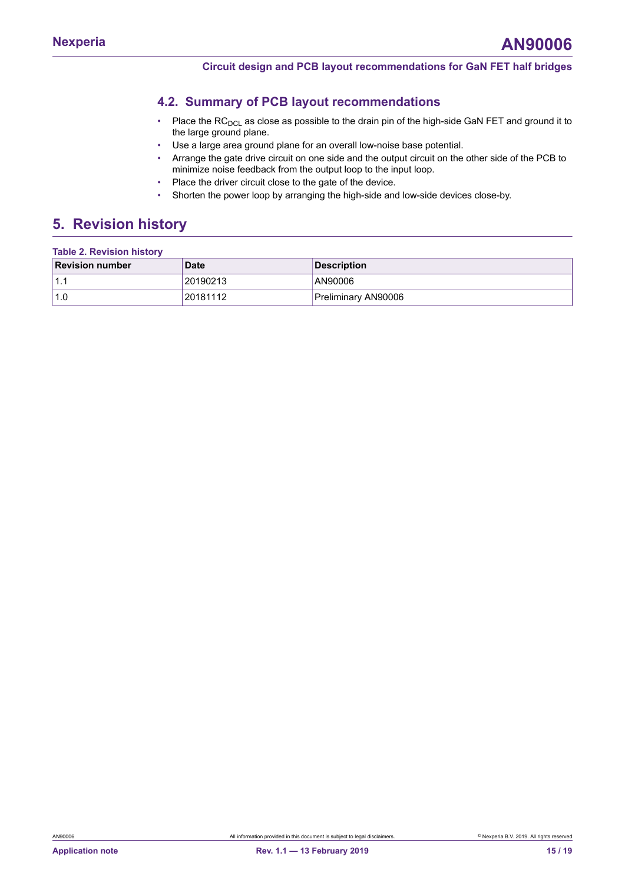### <span id="page-14-1"></span>**4.2. Summary of PCB layout recommendations**

- Place the  $RC<sub>DCL</sub>$  as close as possible to the drain pin of the high-side GaN FET and ground it to the large ground plane.
- Use a large area ground plane for an overall low-noise base potential.
- Arrange the gate drive circuit on one side and the output circuit on the other side of the PCB to minimize noise feedback from the output loop to the input loop.
- Place the driver circuit close to the gate of the device.
- <span id="page-14-0"></span>• Shorten the power loop by arranging the high-side and low-side devices close-by.

## <span id="page-14-2"></span>**5. Revision history**

| <b>Table 2. Revision history</b> |             |                     |  |  |  |
|----------------------------------|-------------|---------------------|--|--|--|
| <b>Revision number</b>           | <b>Date</b> | <b>Description</b>  |  |  |  |
| 1.1                              | 20190213    | AN90006             |  |  |  |
| 1.0                              | 120181112   | Preliminary AN90006 |  |  |  |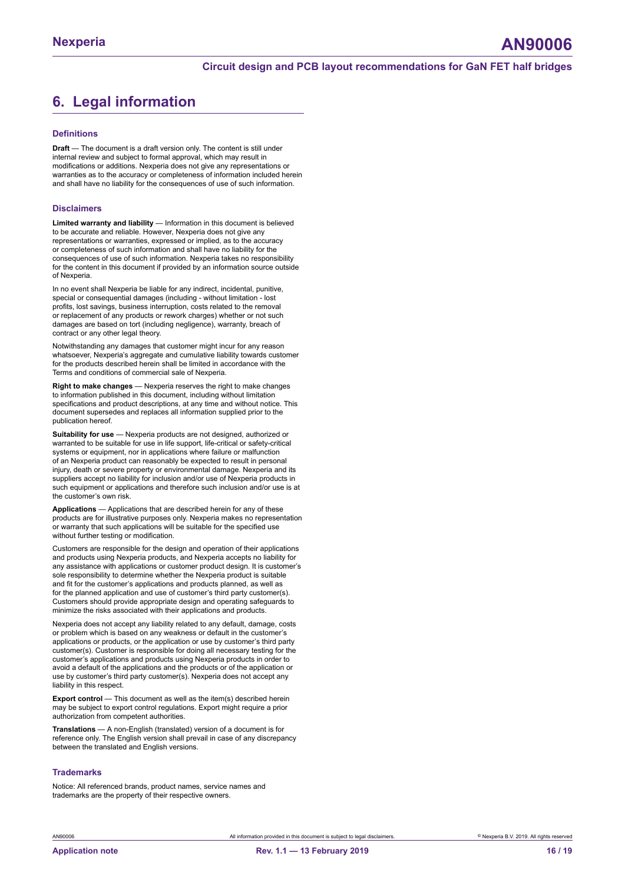# <span id="page-15-0"></span>**6. Legal information**

#### **Definitions**

**Draft** — The document is a draft version only. The content is still under internal review and subject to formal approval, which may result in modifications or additions. Nexperia does not give any representations or warranties as to the accuracy or completeness of information included herein and shall have no liability for the consequences of use of such information.

#### **Disclaimers**

**Limited warranty and liability** — Information in this document is believed to be accurate and reliable. However, Nexperia does not give any representations or warranties, expressed or implied, as to the accuracy or completeness of such information and shall have no liability for the consequences of use of such information. Nexperia takes no responsibility for the content in this document if provided by an information source outside of Nexperia.

In no event shall Nexperia be liable for any indirect, incidental, punitive, special or consequential damages (including - without limitation - lost profits, lost savings, business interruption, costs related to the removal or replacement of any products or rework charges) whether or not such damages are based on tort (including negligence), warranty, breach of contract or any other legal theory.

Notwithstanding any damages that customer might incur for any reason whatsoever, Nexperia's aggregate and cumulative liability towards customer for the products described herein shall be limited in accordance with the Terms and conditions of commercial sale of Nexperia.

**Right to make changes** — Nexperia reserves the right to make changes to information published in this document, including without limitation specifications and product descriptions, at any time and without notice. This document supersedes and replaces all information supplied prior to the publication hereof.

**Suitability for use** — Nexperia products are not designed, authorized or warranted to be suitable for use in life support, life-critical or safety-critical systems or equipment, nor in applications where failure or malfunction of an Nexperia product can reasonably be expected to result in personal injury, death or severe property or environmental damage. Nexperia and its suppliers accept no liability for inclusion and/or use of Nexperia products in such equipment or applications and therefore such inclusion and/or use is at the customer's own risk.

**Applications** — Applications that are described herein for any of these products are for illustrative purposes only. Nexperia makes no representation or warranty that such applications will be suitable for the specified use without further testing or modification.

Customers are responsible for the design and operation of their applications and products using Nexperia products, and Nexperia accepts no liability for any assistance with applications or customer product design. It is customer's sole responsibility to determine whether the Nexperia product is suitable and fit for the customer's applications and products planned, as well as for the planned application and use of customer's third party customer(s). Customers should provide appropriate design and operating safeguards to minimize the risks associated with their applications and products.

Nexperia does not accept any liability related to any default, damage, costs or problem which is based on any weakness or default in the customer's applications or products, or the application or use by customer's third party customer(s). Customer is responsible for doing all necessary testing for the customer's applications and products using Nexperia products in order to avoid a default of the applications and the products or of the application or use by customer's third party customer(s). Nexperia does not accept any liability in this respect.

**Export control** — This document as well as the item(s) described herein may be subject to export control regulations. Export might require a prior authorization from competent authorities.

**Translations** — A non-English (translated) version of a document is for reference only. The English version shall prevail in case of any discrepancy between the translated and English versions.

#### **Trademarks**

Notice: All referenced brands, product names, service names and trademarks are the property of their respective owners.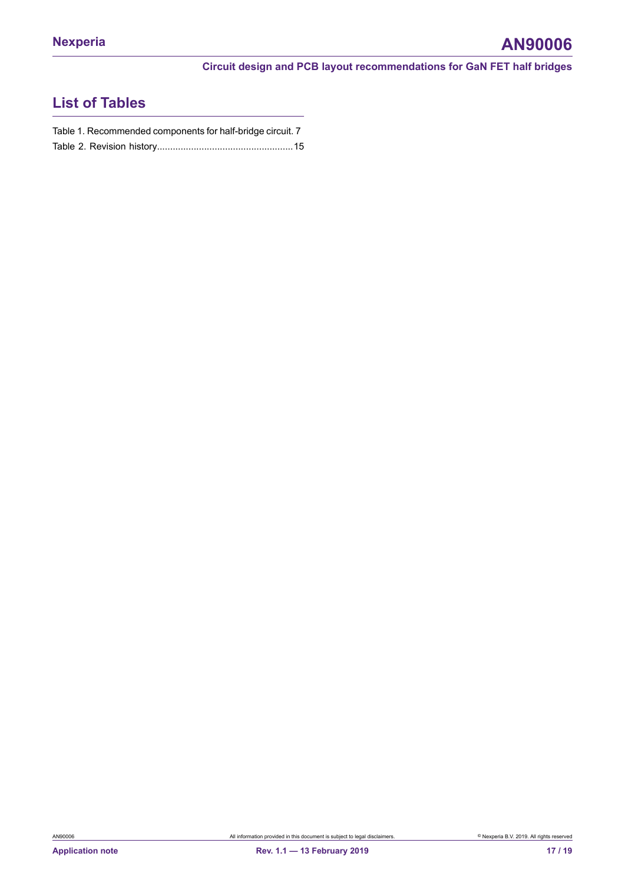# **List of Tables**

| Table 1. Recommended components for half-bridge circuit. 7 |  |
|------------------------------------------------------------|--|
|                                                            |  |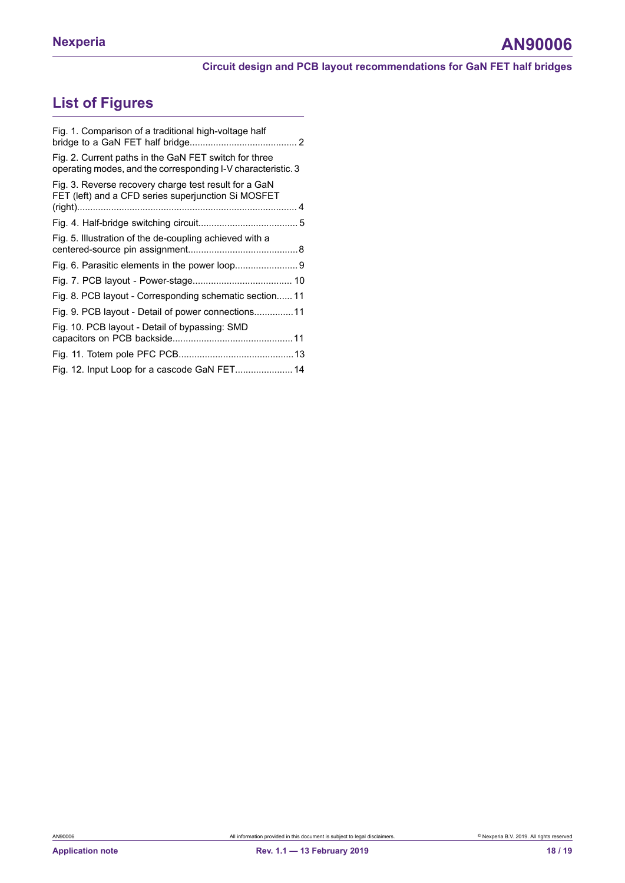# **List of Figures**

| Fig. 1. Comparison of a traditional high-voltage half                                                                 |  |
|-----------------------------------------------------------------------------------------------------------------------|--|
| Fig. 2. Current paths in the GaN FET switch for three<br>operating modes, and the corresponding I-V characteristic. 3 |  |
| Fig. 3. Reverse recovery charge test result for a GaN<br>FET (left) and a CFD series superjunction Si MOSFET          |  |
|                                                                                                                       |  |
|                                                                                                                       |  |
| Fig. 5. Illustration of the de-coupling achieved with a                                                               |  |
|                                                                                                                       |  |
|                                                                                                                       |  |
| Fig. 8. PCB layout - Corresponding schematic section 11                                                               |  |
| Fig. 9. PCB layout - Detail of power connections11                                                                    |  |
| Fig. 10. PCB layout - Detail of bypassing: SMD                                                                        |  |
|                                                                                                                       |  |
| Fig. 12. Input Loop for a cascode GaN FET 14                                                                          |  |